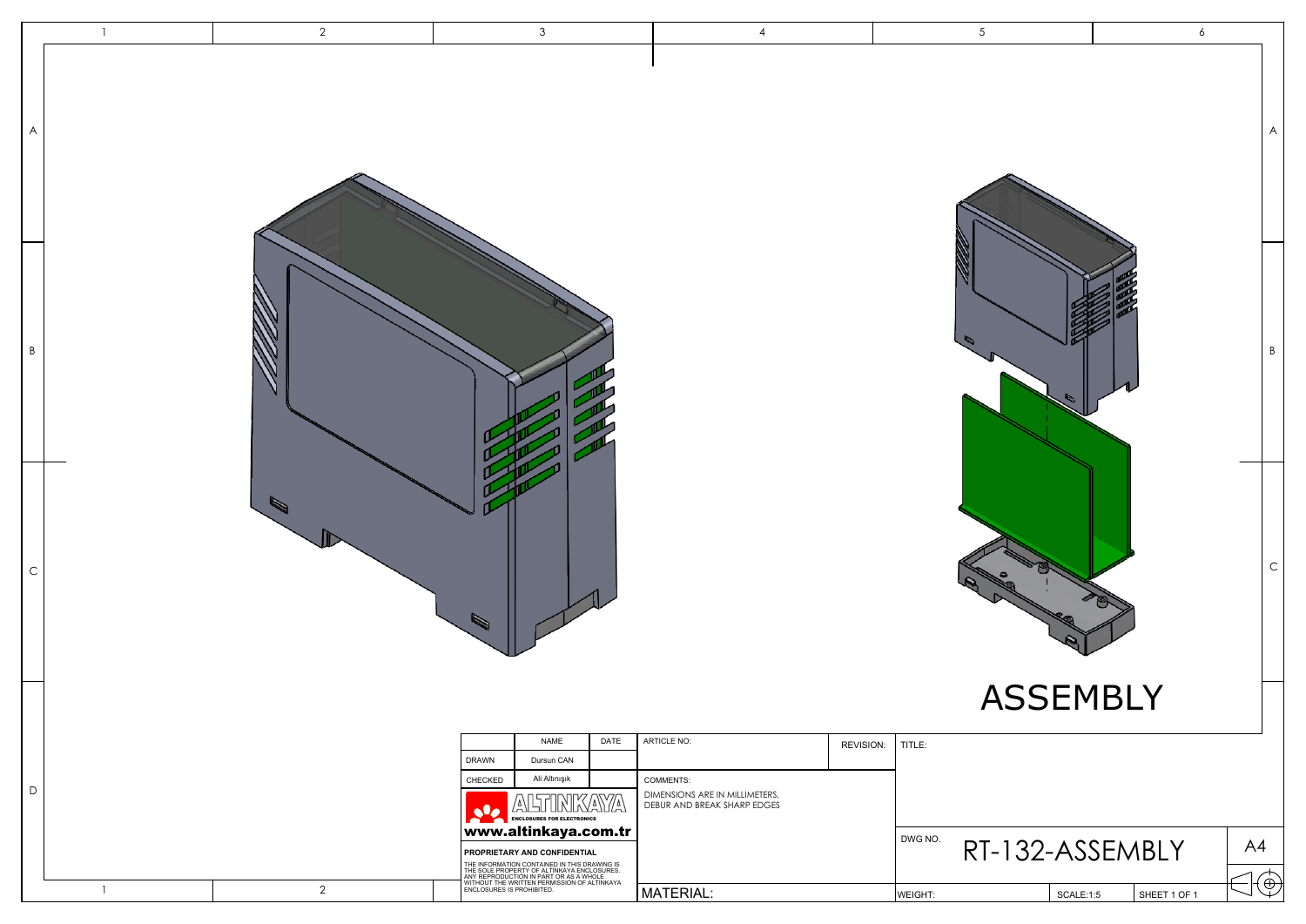|             | $\overline{1}$ | $\overline{2}$ | $\mathbf{3}$                                                                                                                                                                                                                                                             | $\overline{4}$                                                                                         | $\overline{5}$             | $\epsilon$                   |
|-------------|----------------|----------------|--------------------------------------------------------------------------------------------------------------------------------------------------------------------------------------------------------------------------------------------------------------------------|--------------------------------------------------------------------------------------------------------|----------------------------|------------------------------|
| A           |                |                |                                                                                                                                                                                                                                                                          |                                                                                                        |                            | A                            |
| $\mathsf B$ |                |                |                                                                                                                                                                                                                                                                          |                                                                                                        |                            | B                            |
| $\mathsf C$ |                |                | Ø                                                                                                                                                                                                                                                                        |                                                                                                        |                            | $\mathsf C$                  |
| $\mathsf D$ |                |                | DATE<br><b>NAME</b><br>DRAWN<br>Dursun CAN<br>Ali Altınışık<br>CHECKED<br>ALTINKAYA<br>ENCLOSURES FOR ELECTRONICS                                                                                                                                                        | ARTICLE NO:<br>REVISION:<br>COMMENTS:<br>DIMENSIONS ARE IN MILLIMETERS,<br>DEBUR AND BREAK SHARP EDGES | <b>ASSEMBLY</b><br>TITLE:  |                              |
|             |                |                | www.altinkaya.com.tr<br>PROPRIETARY AND CONFIDENTIAL<br>THE INFORMATION CONTAINED IN THIS DRAWING IS<br>THE SOLE PROPERTY OF ALTINKAYA ENCLOSURES.<br>ANY REPRODUCTION IN PART OR AS A WHOLE<br>WITHOUT THE WRITTEN PERMISSION OF ALTINKAYA<br>ENCLOSURES IS PROHIBITED. |                                                                                                        | DWG NO.<br>RT-132-ASSEMBLY | A4                           |
|             | $\overline{1}$ | $\overline{2}$ |                                                                                                                                                                                                                                                                          | MATERIAL:                                                                                              | WEIGHT:<br>SCALE:1:5       | $ \bigoplus$<br>SHEET 1 OF 1 |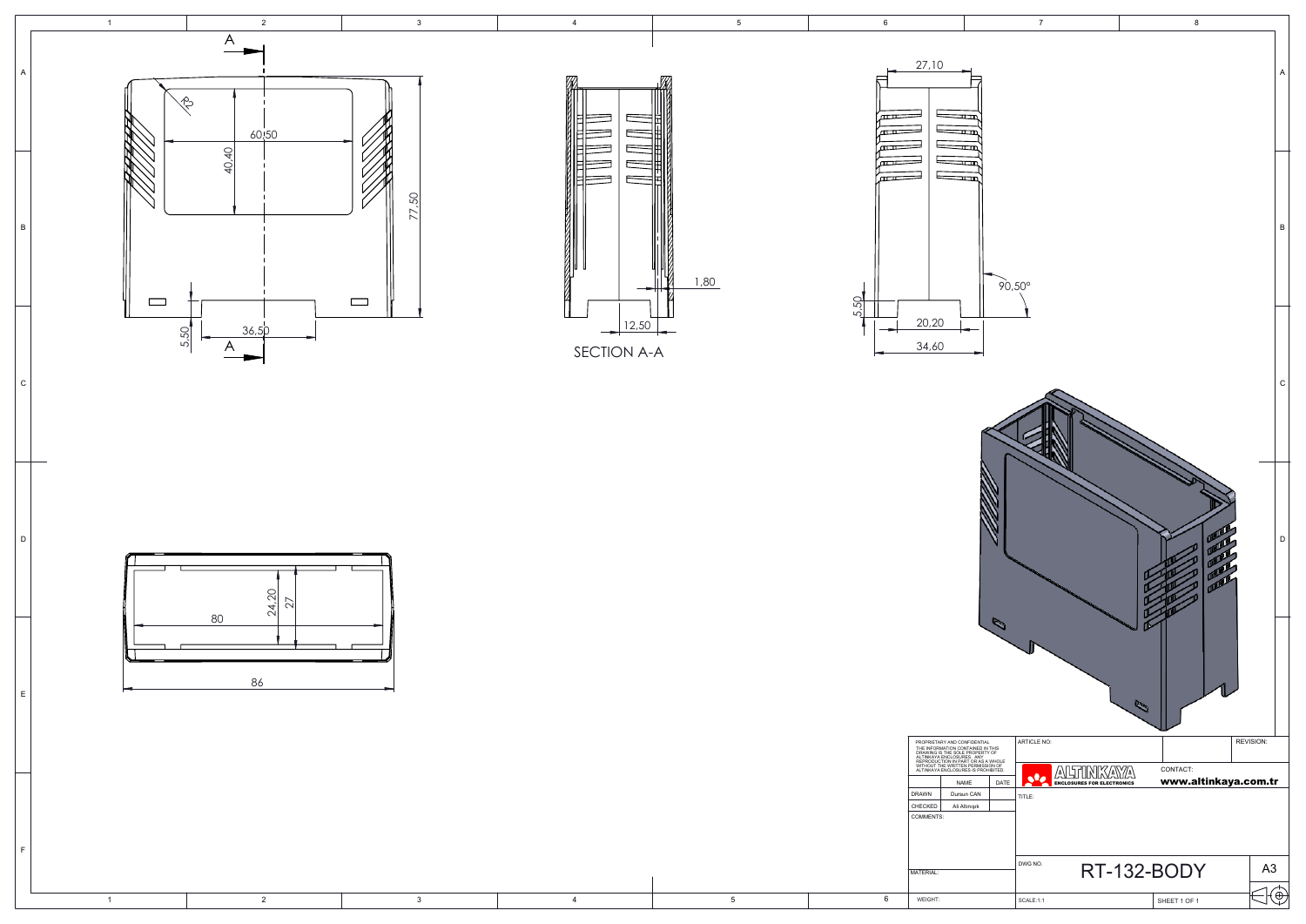

1 3

l d

l c

E

F





4

5

| PROPRIETARY AND CONFIDENTIAL<br>THE INFORMATION CONTAINED IN THIS<br>DRAWING IS THE SOLE PROPERTY OF<br>ALTINKAYA ENCLOSURES. ANY<br>REPRODUCTION IN PART OR AS A WHOLE<br>WITHOUT THE WRITTEN PERMISSION OF<br>ALTINKAYA ENCLOSURES IS PROHIBITED. |               |      |  |  |
|-----------------------------------------------------------------------------------------------------------------------------------------------------------------------------------------------------------------------------------------------------|---------------|------|--|--|
|                                                                                                                                                                                                                                                     | <b>NAME</b>   | DATE |  |  |
| <b>DRAWN</b>                                                                                                                                                                                                                                        | Dursun CAN    |      |  |  |
| CHECKED                                                                                                                                                                                                                                             | Ali Altınışık |      |  |  |
| COMMENTS:                                                                                                                                                                                                                                           |               |      |  |  |
| MATERIAL:                                                                                                                                                                                                                                           |               |      |  |  |
| <b>WEIGHT:</b>                                                                                                                                                                                                                                      |               |      |  |  |

6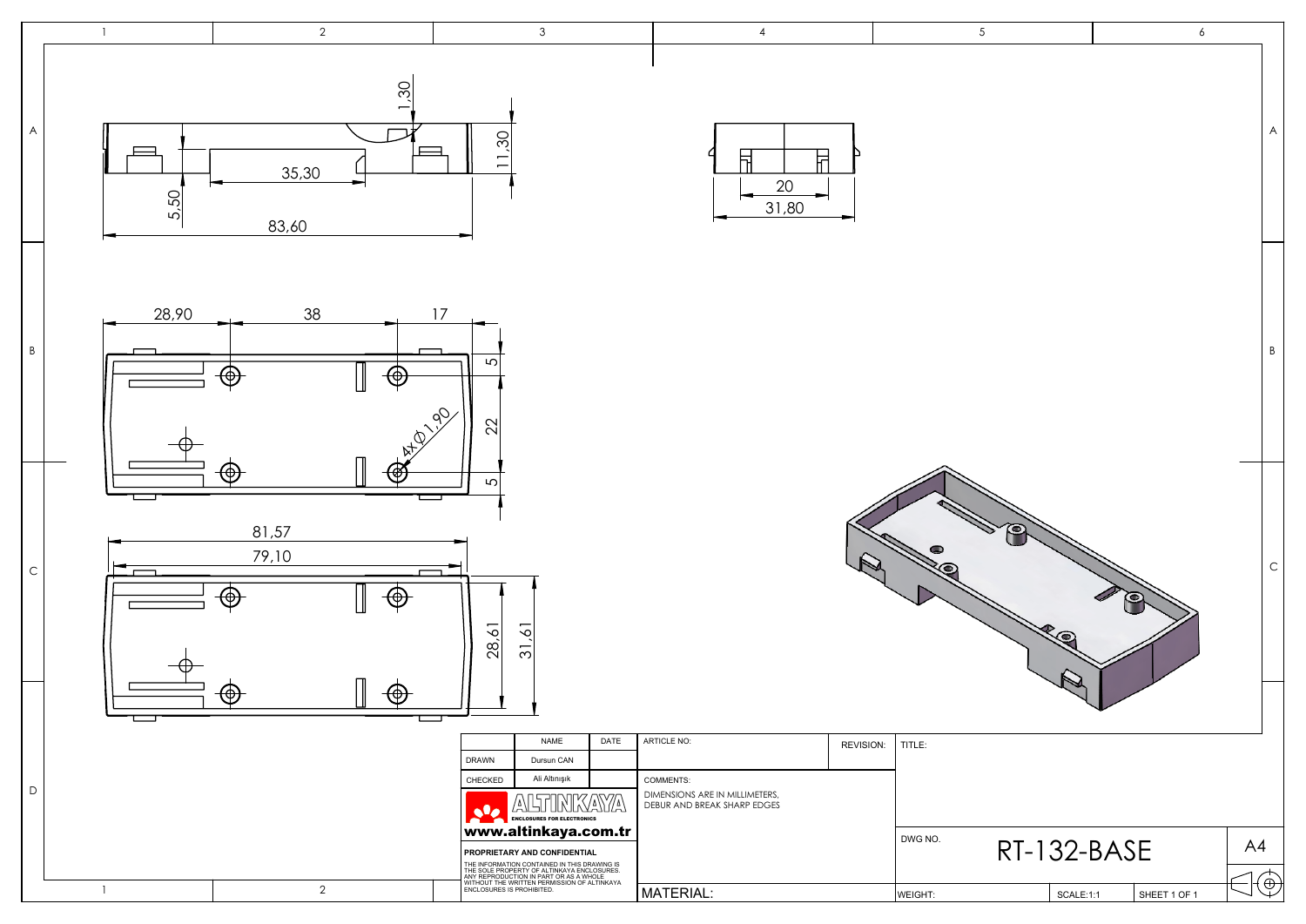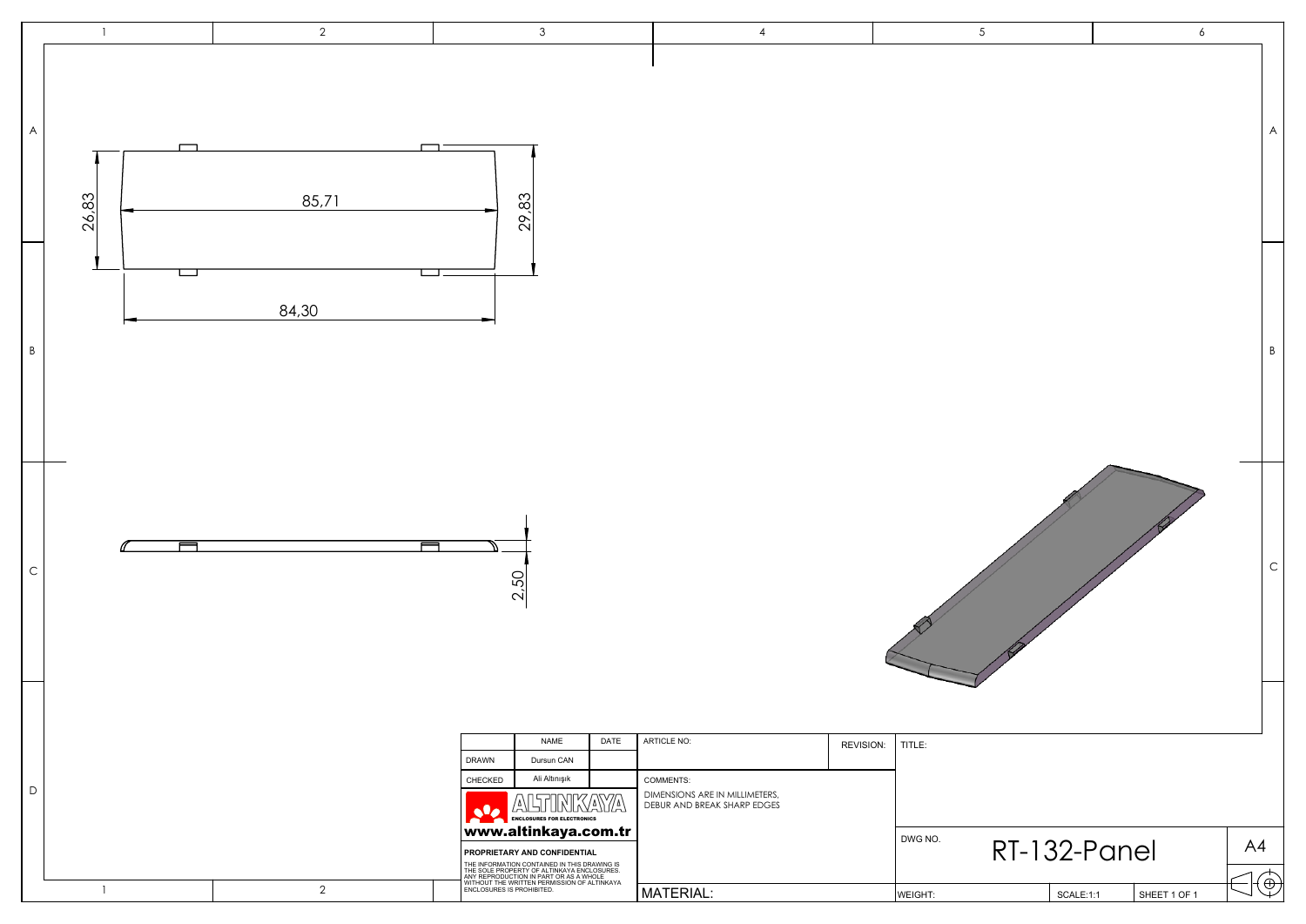|                           |                | $\overline{2}$ | $\mathbf{3}$                                                                                                                                                                                                                                                                                                                                                                                                         | $\overline{4}$                                                                                         | $5\overline{)}$                                                        | $6\overline{6}$                        |
|---------------------------|----------------|----------------|----------------------------------------------------------------------------------------------------------------------------------------------------------------------------------------------------------------------------------------------------------------------------------------------------------------------------------------------------------------------------------------------------------------------|--------------------------------------------------------------------------------------------------------|------------------------------------------------------------------------|----------------------------------------|
| $\boldsymbol{\mathsf{A}}$ | 26,83          | 85,71          | ┑<br>29,83                                                                                                                                                                                                                                                                                                                                                                                                           |                                                                                                        |                                                                        | $\boldsymbol{\mathsf{A}}$              |
| $\, {\sf B}$              | ட              | 84,30          |                                                                                                                                                                                                                                                                                                                                                                                                                      |                                                                                                        |                                                                        | $\, {\sf B}$                           |
| $\mathsf C$               |                |                | 2,50                                                                                                                                                                                                                                                                                                                                                                                                                 |                                                                                                        |                                                                        | $\mathsf C$                            |
| $\mathsf D$               | $\overline{1}$ | $\overline{2}$ | NAME<br>DATE<br>DRAWN<br>Dursun CAN<br>Ali Altınışık<br>CHECKED<br>ALTINKAYA<br>$\mathbf{S}$<br><b>ENCLOSURES FOR ELECTRONICS</b><br>www.altinkaya.com.tr<br><b>PROPRIETARY AND CONFIDENTIAL</b><br>THE INFORMATION CONTAINED IN THIS DRAWING IS<br>THE SOLE PROPERTY OF ALTINKAYA ENCLOSURES.<br>ANY REPRODUCTION IN PART OR AS A WHOLE<br>WITHOUT THE WRITTEN PERMISSION OF ALTINKAYA<br>ENCLOSURES IS PROHIBITED. | ARTICLE NO:<br>COMMENTS:<br>DIMENSIONS ARE IN MILLIMETERS,<br>DEBUR AND BREAK SHARP EDGES<br>MATERIAL: | REVISION:<br>TITLE:<br>DWG NO.<br>RT-132-Panel<br>WEIGHT:<br>SCALE:1:1 | A4<br>$\exists \oplus$<br>SHEET 1 OF 1 |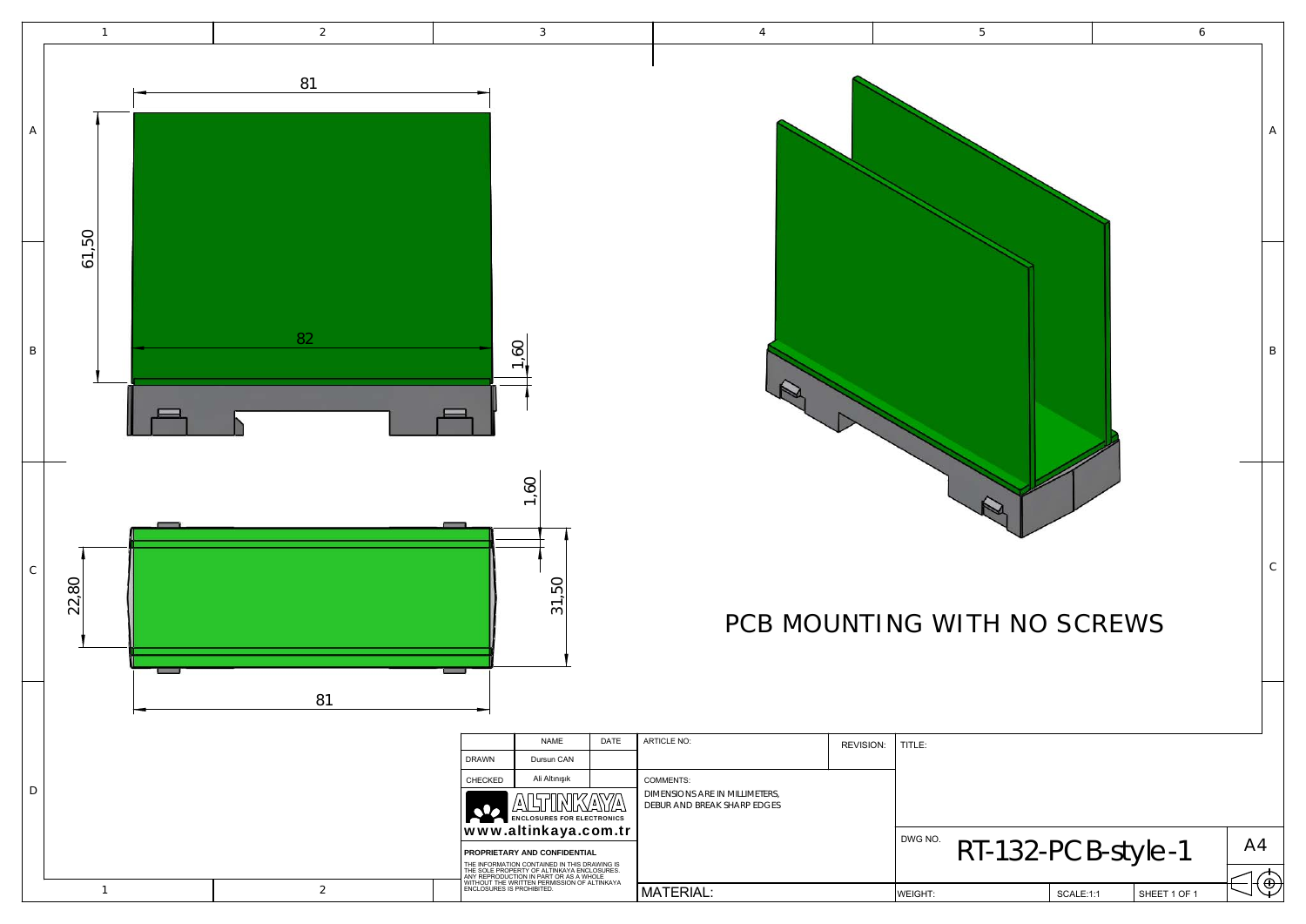